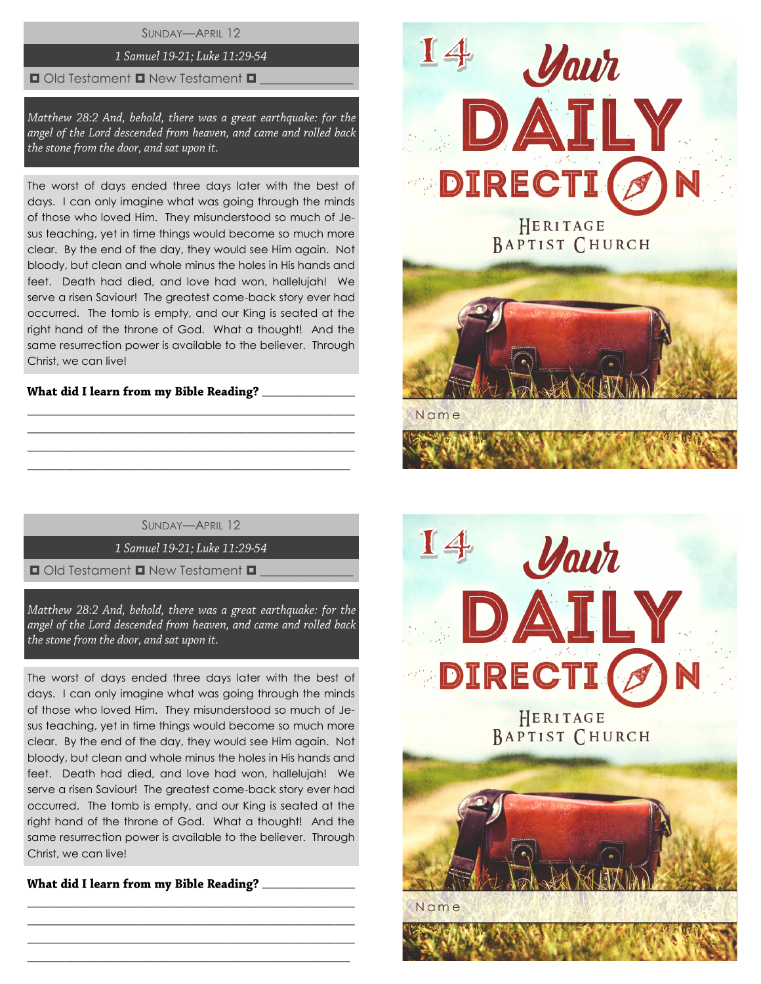SUNDAY—APRIL 12

# 1 Samuel 19-21; Luke 11:29-54

#### $\Box$  Old Testament  $\Box$  New Testament  $\Box$

Matthew 28:2 And, behold, there was a great earthquake: for the angel of the Lord descended from heaven, and came and rolled back the stone from the door, and sat upon it.

The worst of days ended three days later with the best of days. I can only imagine what was going through the minds of those who loved Him. They misunderstood so much of Jesus teaching, yet in time things would become so much more clear. By the end of the day, they would see Him again. Not bloody, but clean and whole minus the holes in His hands and feet. Death had died, and love had won, hallelujah! We serve a risen Saviour! The greatest come-back story ever had occurred. The tomb is empty, and our King is seated at the right hand of the throne of God. What a thought! And the same resurrection power is available to the believer. Through Christ, we can live!

# What did I learn from my Bible Reading? \_\_\_\_\_\_\_\_\_\_

SUNDAY—APRIL 12

\_\_\_\_\_\_\_\_\_\_\_\_\_\_\_\_\_\_\_\_\_\_\_\_\_\_\_\_\_\_\_\_\_\_\_\_\_\_\_\_\_\_\_\_\_\_\_\_\_\_\_\_ \_\_\_\_\_\_\_\_\_\_\_\_\_\_\_\_\_\_\_\_\_\_\_\_\_\_\_\_\_\_\_\_\_\_\_\_\_\_\_\_\_\_\_\_\_\_\_\_\_\_\_\_ \_\_\_\_\_\_\_\_\_\_\_\_\_\_\_\_\_\_\_\_\_\_\_\_\_\_\_\_\_\_\_\_\_\_\_\_\_\_\_\_\_\_\_\_\_\_\_\_\_\_\_\_ \_\_\_\_\_\_\_\_\_\_\_\_\_\_\_\_\_\_\_\_\_\_\_\_\_\_\_\_\_\_\_\_\_\_\_\_\_\_\_\_\_\_\_\_\_\_\_\_\_\_\_\_

1 Samuel 19-21; Luke 11:29-54

 $\Box$  Old Testament  $\Box$  New Testament  $\Box$ 

Matthew 28:2 And, behold, there was a great earthquake: for the angel of the Lord descended from heaven, and came and rolled back the stone from the door, and sat upon it.

The worst of days ended three days later with the best of days. I can only imagine what was going through the minds of those who loved Him. They misunderstood so much of Jesus teaching, yet in time things would become so much more clear. By the end of the day, they would see Him again. Not bloody, but clean and whole minus the holes in His hands and feet. Death had died, and love had won, hallelujah! We serve a risen Saviour! The greatest come-back story ever had occurred. The tomb is empty, and our King is seated at the right hand of the throne of God. What a thought! And the same resurrection power is available to the believer. Through Christ, we can live!

\_\_\_\_\_\_\_\_\_\_\_\_\_\_\_\_\_\_\_\_\_\_\_\_\_\_\_\_\_\_\_\_\_\_\_\_\_\_\_\_\_\_\_\_\_\_\_\_\_\_\_\_ \_\_\_\_\_\_\_\_\_\_\_\_\_\_\_\_\_\_\_\_\_\_\_\_\_\_\_\_\_\_\_\_\_\_\_\_\_\_\_\_\_\_\_\_\_\_\_\_\_\_\_\_ \_\_\_\_\_\_\_\_\_\_\_\_\_\_\_\_\_\_\_\_\_\_\_\_\_\_\_\_\_\_\_\_\_\_\_\_\_\_\_\_\_\_\_\_\_\_\_\_\_\_\_\_ \_\_\_\_\_\_\_\_\_\_\_\_\_\_\_\_\_\_\_\_\_\_\_\_\_\_\_\_\_\_\_\_\_\_\_\_\_\_\_\_\_\_\_\_\_\_\_\_\_\_\_\_

What did I learn from my Bible Reading? \_\_\_\_\_\_\_\_\_\_



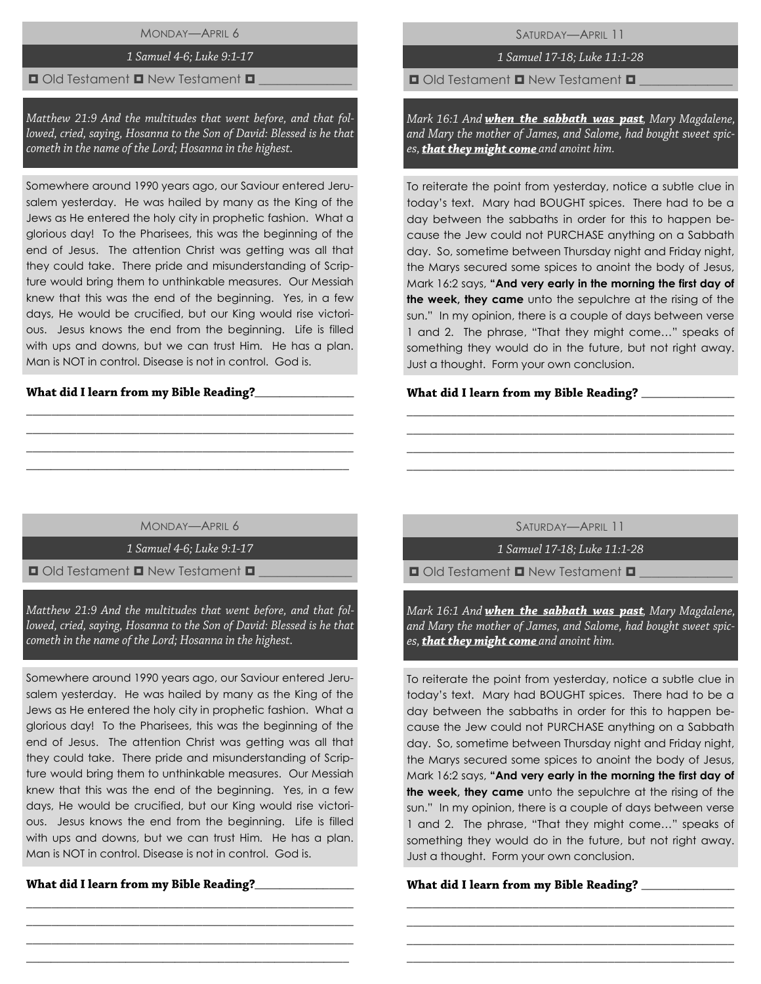MONDAY—APRIL 6

### 1 Samuel 4-6: Luke 9:1-17

#### $\Box$  Old Testament  $\Box$  New Testament  $\Box$

Matthew 21:9 And the multitudes that went before, and that followed, cried, saying, Hosanna to the Son of David: Blessed is he that cometh in the name of the Lord; Hosanna in the highest.

Somewhere around 1990 years ago, our Saviour entered Jerusalem yesterday. He was hailed by many as the King of the Jews as He entered the holy city in prophetic fashion. What a glorious day! To the Pharisees, this was the beginning of the end of Jesus. The attention Christ was getting was all that they could take. There pride and misunderstanding of Scripture would bring them to unthinkable measures. Our Messiah knew that this was the end of the beginning. Yes, in a few days, He would be crucified, but our King would rise victorious. Jesus knows the end from the beginning. Life is filled with ups and downs, but we can trust Him. He has a plan. Man is NOT in control. Disease is not in control. God is.

## $\frac{1}{2}$

SATURDAY—APRIL 11

1 Samuel 17-18; Luke 11:1-28

 $\Box$  Old Testament  $\Box$  New Testament  $\Box$ 

Mark 16:1 And when the sabbath was past, Mary Magdalene, and Mary the mother of James, and Salome, had bought sweet spices, **that they might come** and anoint him.

To reiterate the point from yesterday, notice a subtle clue in today's text. Mary had BOUGHT spices. There had to be a day between the sabbaths in order for this to happen because the Jew could not PURCHASE anything on a Sabbath day. So, sometime between Thursday night and Friday night, the Marys secured some spices to anoint the body of Jesus, Mark 16:2 says, **"And very early in the morning the first day of the week, they came** unto the sepulchre at the rising of the sun." In my opinion, there is a couple of days between verse 1 and 2. The phrase, "That they might come…" speaks of something they would do in the future, but not right away. Just a thought. Form your own conclusion.

### What did I learn from my Bible Reading? \_\_\_\_

MONDAY—APRIL 6

\_\_\_\_\_\_\_\_\_\_\_\_\_\_\_\_\_\_\_\_\_\_\_\_\_\_\_\_\_\_\_\_\_\_\_\_\_\_\_\_\_\_\_\_\_\_\_\_\_\_\_\_ \_\_\_\_\_\_\_\_\_\_\_\_\_\_\_\_\_\_\_\_\_\_\_\_\_\_\_\_\_\_\_\_\_\_\_\_\_\_\_\_\_\_\_\_\_\_\_\_\_\_\_\_ \_\_\_\_\_\_\_\_\_\_\_\_\_\_\_\_\_\_\_\_\_\_\_\_\_\_\_\_\_\_\_\_\_\_\_\_\_\_\_\_\_\_\_\_\_\_\_\_\_\_\_\_ \_\_\_\_\_\_\_\_\_\_\_\_\_\_\_\_\_\_\_\_\_\_\_\_\_\_\_\_\_\_\_\_\_\_\_\_\_\_\_\_\_\_\_\_\_\_\_\_\_\_\_\_

1 Samuel 4-6: Luke 9:1-17

 $\Box$  Old Testament  $\Box$  New Testament  $\Box$ 

Matthew 21:9 And the multitudes that went before, and that followed, cried, saying, Hosanna to the Son of David: Blessed is he that cometh in the name of the Lord; Hosanna in the highest.

Somewhere around 1990 years ago, our Saviour entered Jerusalem yesterday. He was hailed by many as the King of the Jews as He entered the holy city in prophetic fashion. What a glorious day! To the Pharisees, this was the beginning of the end of Jesus. The attention Christ was getting was all that they could take. There pride and misunderstanding of Scripture would bring them to unthinkable measures. Our Messiah knew that this was the end of the beginning. Yes, in a few days, He would be crucified, but our King would rise victorious. Jesus knows the end from the beginning. Life is filled with ups and downs, but we can trust Him. He has a plan. Man is NOT in control. Disease is not in control. God is.

\_\_\_\_\_\_\_\_\_\_\_\_\_\_\_\_\_\_\_\_\_\_\_\_\_\_\_\_\_\_\_\_\_\_\_\_\_\_\_\_\_\_\_\_\_\_\_\_\_\_\_\_ \_\_\_\_\_\_\_\_\_\_\_\_\_\_\_\_\_\_\_\_\_\_\_\_\_\_\_\_\_\_\_\_\_\_\_\_\_\_\_\_\_\_\_\_\_\_\_\_\_\_\_\_ \_\_\_\_\_\_\_\_\_\_\_\_\_\_\_\_\_\_\_\_\_\_\_\_\_\_\_\_\_\_\_\_\_\_\_\_\_\_\_\_\_\_\_\_\_\_\_\_\_\_\_\_ \_\_\_\_\_\_\_\_\_\_\_\_\_\_\_\_\_\_\_\_\_\_\_\_\_\_\_\_\_\_\_\_\_\_\_\_\_\_\_\_\_\_\_\_\_\_\_\_\_\_\_\_

What did I learn from my Bible Reading?\_\_\_\_\_\_\_\_\_\_

SATURDAY—APRIL 11

\_\_\_\_\_\_\_\_\_\_\_\_\_\_\_\_\_\_\_\_\_\_\_\_\_\_\_\_\_\_\_\_\_\_\_\_\_\_\_\_\_\_\_\_\_\_\_\_\_\_\_\_ \_\_\_\_\_\_\_\_\_\_\_\_\_\_\_\_\_\_\_\_\_\_\_\_\_\_\_\_\_\_\_\_\_\_\_\_\_\_\_\_\_\_\_\_\_\_\_\_\_\_\_\_ \_\_\_\_\_\_\_\_\_\_\_\_\_\_\_\_\_\_\_\_\_\_\_\_\_\_\_\_\_\_\_\_\_\_\_\_\_\_\_\_\_\_\_\_\_\_\_\_\_\_\_\_ \_\_\_\_\_\_\_\_\_\_\_\_\_\_\_\_\_\_\_\_\_\_\_\_\_\_\_\_\_\_\_\_\_\_\_\_\_\_\_\_\_\_\_\_\_\_\_\_\_\_\_\_

1 Samuel 17-18; Luke 11:1-28

 $\Box$  Old Testament  $\Box$  New Testament  $\Box$ 

Mark 16:1 And when the sabbath was past, Mary Magdalene, and Mary the mother of James, and Salome, had bought sweet spices, **that they might come** and anoint him.

To reiterate the point from yesterday, notice a subtle clue in today's text. Mary had BOUGHT spices. There had to be a day between the sabbaths in order for this to happen because the Jew could not PURCHASE anything on a Sabbath day. So, sometime between Thursday night and Friday night, the Marys secured some spices to anoint the body of Jesus, Mark 16:2 says, **"And very early in the morning the first day of the week, they came** unto the sepulchre at the rising of the sun." In my opinion, there is a couple of days between verse 1 and 2. The phrase, "That they might come…" speaks of something they would do in the future, but not right away. Just a thought. Form your own conclusion.

\_\_\_\_\_\_\_\_\_\_\_\_\_\_\_\_\_\_\_\_\_\_\_\_\_\_\_\_\_\_\_\_\_\_\_\_\_\_\_\_\_\_\_\_\_\_\_\_\_\_\_\_ \_\_\_\_\_\_\_\_\_\_\_\_\_\_\_\_\_\_\_\_\_\_\_\_\_\_\_\_\_\_\_\_\_\_\_\_\_\_\_\_\_\_\_\_\_\_\_\_\_\_\_\_ \_\_\_\_\_\_\_\_\_\_\_\_\_\_\_\_\_\_\_\_\_\_\_\_\_\_\_\_\_\_\_\_\_\_\_\_\_\_\_\_\_\_\_\_\_\_\_\_\_\_\_\_ \_\_\_\_\_\_\_\_\_\_\_\_\_\_\_\_\_\_\_\_\_\_\_\_\_\_\_\_\_\_\_\_\_\_\_\_\_\_\_\_\_\_\_\_\_\_\_\_\_\_\_\_

## What did I learn from my Bible Reading? \_\_\_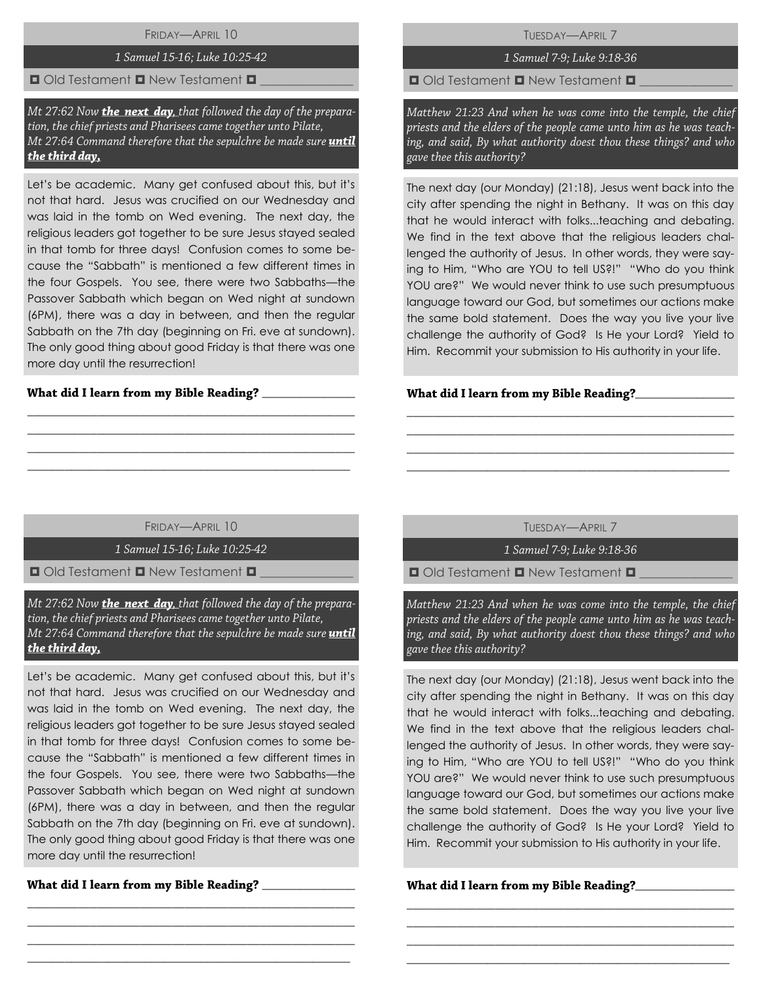FRIDAY—APRIL 10

# 1 Samuel 15-16; Luke 10:25-42

 $\Box$  Old Testament  $\Box$  New Testament  $\Box$ 

Mt 27:62 Now **the next day** that followed the day of the preparation, the chief priests and Pharisees came together unto Pilate, Mt 27:64 Command therefore that the sepulchre be made sure *until* the third day,

Let's be academic. Many get confused about this, but it's not that hard. Jesus was crucified on our Wednesday and was laid in the tomb on Wed evening. The next day, the religious leaders got together to be sure Jesus stayed sealed in that tomb for three days! Confusion comes to some because the "Sabbath" is mentioned a few different times in the four Gospels. You see, there were two Sabbaths—the Passover Sabbath which began on Wed night at sundown (6PM), there was a day in between, and then the regular Sabbath on the 7th day (beginning on Fri. eve at sundown). The only good thing about good Friday is that there was one more day until the resurrection!

# What did I learn from my Bible Reading? \_\_\_

TUESDAY—APRIL 7

# 1 Samuel 7-9; Luke 9:18-36

 $\Box$  Old Testament  $\Box$  New Testament  $\Box$ 

Matthew 21:23 And when he was come into the temple, the chief priests and the elders of the people came unto him as he was teaching, and said, By what authority doest thou these things? and who gave thee this authority?

The next day (our Monday) (21:18), Jesus went back into the city after spending the night in Bethany. It was on this day that he would interact with folks...teaching and debating. We find in the text above that the religious leaders challenged the authority of Jesus. In other words, they were saying to Him, "Who are YOU to tell US?!" "Who do you think YOU are?" We would never think to use such presumptuous language toward our God, but sometimes our actions make the same bold statement. Does the way you live your live challenge the authority of God? Is He your Lord? Yield to Him. Recommit your submission to His authority in your life.

# What did I learn from my Bible Reading?\_\_\_\_\_

FRIDAY—APRIL 10

\_\_\_\_\_\_\_\_\_\_\_\_\_\_\_\_\_\_\_\_\_\_\_\_\_\_\_\_\_\_\_\_\_\_\_\_\_\_\_\_\_\_\_\_\_\_\_\_\_\_\_\_ \_\_\_\_\_\_\_\_\_\_\_\_\_\_\_\_\_\_\_\_\_\_\_\_\_\_\_\_\_\_\_\_\_\_\_\_\_\_\_\_\_\_\_\_\_\_\_\_\_\_\_\_ \_\_\_\_\_\_\_\_\_\_\_\_\_\_\_\_\_\_\_\_\_\_\_\_\_\_\_\_\_\_\_\_\_\_\_\_\_\_\_\_\_\_\_\_\_\_\_\_\_\_\_\_ \_\_\_\_\_\_\_\_\_\_\_\_\_\_\_\_\_\_\_\_\_\_\_\_\_\_\_\_\_\_\_\_\_\_\_\_\_\_\_\_\_\_\_\_\_\_\_\_\_\_\_\_

1 Samuel 15-16; Luke 10:25-42

 $\Box$  Old Testament  $\Box$  New Testament  $\Box$ 

Mt 27:62 Now **the next day** that followed the day of the preparation, the chief priests and Pharisees came together unto Pilate, Mt 27:64 Command therefore that the sepulchre be made sure *until* the third day.

Let's be academic. Many get confused about this, but it's not that hard. Jesus was crucified on our Wednesday and was laid in the tomb on Wed evening. The next day, the religious leaders got together to be sure Jesus stayed sealed in that tomb for three days! Confusion comes to some because the "Sabbath" is mentioned a few different times in the four Gospels. You see, there were two Sabbaths—the Passover Sabbath which began on Wed night at sundown (6PM), there was a day in between, and then the regular Sabbath on the 7th day (beginning on Fri. eve at sundown). The only good thing about good Friday is that there was one more day until the resurrection!

\_\_\_\_\_\_\_\_\_\_\_\_\_\_\_\_\_\_\_\_\_\_\_\_\_\_\_\_\_\_\_\_\_\_\_\_\_\_\_\_\_\_\_\_\_\_\_\_\_\_\_\_ \_\_\_\_\_\_\_\_\_\_\_\_\_\_\_\_\_\_\_\_\_\_\_\_\_\_\_\_\_\_\_\_\_\_\_\_\_\_\_\_\_\_\_\_\_\_\_\_\_\_\_\_ \_\_\_\_\_\_\_\_\_\_\_\_\_\_\_\_\_\_\_\_\_\_\_\_\_\_\_\_\_\_\_\_\_\_\_\_\_\_\_\_\_\_\_\_\_\_\_\_\_\_\_\_ \_\_\_\_\_\_\_\_\_\_\_\_\_\_\_\_\_\_\_\_\_\_\_\_\_\_\_\_\_\_\_\_\_\_\_\_\_\_\_\_\_\_\_\_\_\_\_\_\_\_\_\_

\_\_\_\_\_\_\_\_\_\_\_\_\_\_\_

TUESDAY—APRIL 7

\_\_\_\_\_\_\_\_\_\_\_\_\_\_\_\_\_\_\_\_\_\_\_\_\_\_\_\_\_\_\_\_\_\_\_\_\_\_\_\_\_\_\_\_\_\_\_\_\_\_\_\_ \_\_\_\_\_\_\_\_\_\_\_\_\_\_\_\_\_\_\_\_\_\_\_\_\_\_\_\_\_\_\_\_\_\_\_\_\_\_\_\_\_\_\_\_\_\_\_\_\_\_\_\_ \_\_\_\_\_\_\_\_\_\_\_\_\_\_\_\_\_\_\_\_\_\_\_\_\_\_\_\_\_\_\_\_\_\_\_\_\_\_\_\_\_\_\_\_\_\_\_\_\_\_\_\_ \_\_\_\_\_\_\_\_\_\_\_\_\_\_\_\_\_\_\_\_\_\_\_\_\_\_\_\_\_\_\_\_\_\_\_\_\_\_\_\_\_\_\_\_\_\_\_\_\_\_\_\_

1 Samuel 7-9; Luke 9:18-36

 $\Box$  Old Testament  $\Box$  New Testament  $\Box$ 

Matthew 21:23 And when he was come into the temple, the chief priests and the elders of the people came unto him as he was teaching, and said, By what authority doest thou these things? and who gave thee this authority?

The next day (our Monday) (21:18), Jesus went back into the city after spending the night in Bethany. It was on this day that he would interact with folks...teaching and debating. We find in the text above that the religious leaders challenged the authority of Jesus. In other words, they were saying to Him, "Who are YOU to tell US?!" "Who do you think YOU are?" We would never think to use such presumptuous language toward our God, but sometimes our actions make the same bold statement. Does the way you live your live challenge the authority of God? Is He your Lord? Yield to Him. Recommit your submission to His authority in your life.

\_\_\_\_\_\_\_\_\_\_\_\_\_\_\_\_\_\_\_\_\_\_\_\_\_\_\_\_\_\_\_\_\_\_\_\_\_\_\_\_\_\_\_\_\_\_\_\_\_\_\_\_ \_\_\_\_\_\_\_\_\_\_\_\_\_\_\_\_\_\_\_\_\_\_\_\_\_\_\_\_\_\_\_\_\_\_\_\_\_\_\_\_\_\_\_\_\_\_\_\_\_\_\_\_ \_\_\_\_\_\_\_\_\_\_\_\_\_\_\_\_\_\_\_\_\_\_\_\_\_\_\_\_\_\_\_\_\_\_\_\_\_\_\_\_\_\_\_\_\_\_\_\_\_\_\_\_ \_\_\_\_\_\_\_\_\_\_\_\_\_\_\_\_\_\_\_\_\_\_\_\_\_\_\_\_\_\_\_\_\_\_\_\_\_\_\_\_\_\_\_\_\_\_\_\_\_\_\_\_

What did I learn from my Bible Reading?\_\_\_\_\_\_\_\_\_\_